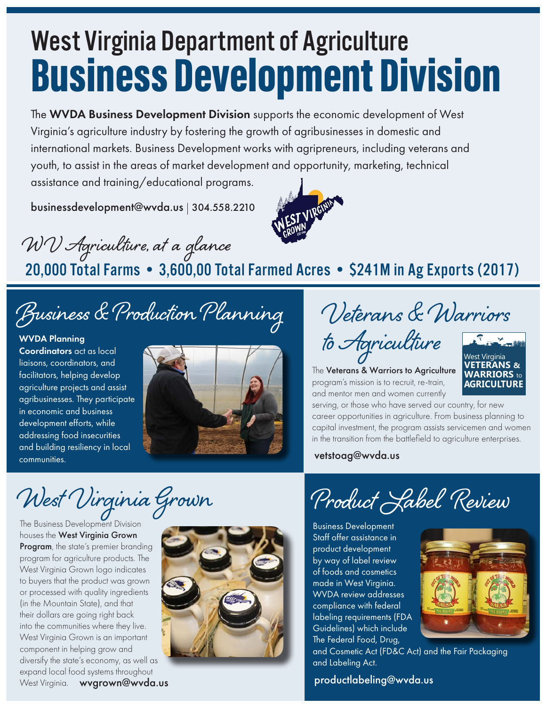# West Virginia Department of Agriculture Business Development Division

The WVDA Business Development Division supports the economic development of West Virginia's agriculture industry by fostering the growth of agribusinesses in domestic and international markets. Business Development works with agripreneurs, including veterans and youth, to assist in the areas of market development and opportunity, marketing, technical assistance and training/educational programs.

businessdevelopment@wvda.us | 304.558.2210



W V Agriculture, at a glance 20,000 Total Farms • 3,600,00 Total Farmed Acres • \$241M in Ag Exports (2017)

Business & Production Planning

#### WVDA Planning

Coordinators act as local liaisons, coordinators, and facilitators, helping develop agriculture projects and assist agribusinesses. They participate in economic and business development efforts, while addressing food insecurities and building resiliency in local communities.

West Virginia Grown

The Business Development Division houses the West Virginia Grown Program, the state's premier branding program for agriculture products. The West Virginia Grown logo indicates to buyers that the product was grown or processed with quality ingredients (in the Mountain State), and that their dollars are going right back into the communities where they live. West Virginia Grown is an important component in helping grow and diversify the state's economy, as well as expand local food systems throughout West Virginia. h**wygrown@wvda.us** 



Veterans & Warriors

to Agriculture

**AGRICULTURE VETERANS & WARRIORS** to West Virginia

The Veterans & Warriors to Agriculture program's mission is to recruit, re-train, and mentor men and women currently

serving, or those who have served our country, for new career opportunities in agriculture. From business planning to capital investment, the program assists servicemen and women in the transition from the battlefield to agriculture enterprises.

vetstoag@wvda.us

Product Label Review

Business Development Staff offer assistance in product development by way of label review of foods and cosmetics made in West Virginia. WVDA review addresses compliance with federal labeling requirements (FDA Guidelines) which include The Federal Food, Drug,



and Cosmetic Act (FD&C Act) and the Fair Packaging and Labeling Act.

productlabeling@wvda.us